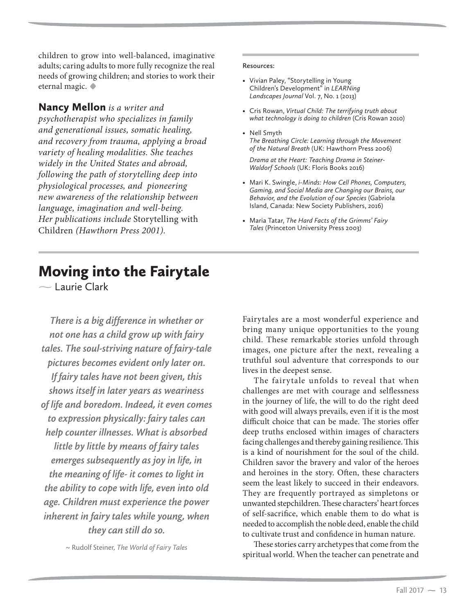$\sim$  Laurie Clark

*There is a big difference in whether or not one has a child grow up with fairy tales. The soul-striving nature of fairy-tale pictures becomes evident only later on. If fairy tales have not been given, this shows itself in later years as weariness of life and boredom. Indeed, it even comes to expression physically: fairy tales can help counter illnesses. What is absorbed little by little by means of fairy tales emerges subsequently as joy in life, in the meaning of life- it comes to light in the ability to cope with life, even into old age. Children must experience the power inherent in fairy tales while young, when they can still do so.*

~ Rudolf Steiner, *The World of Fairy Tales*

Fairytales are a most wonderful experience and bring many unique opportunities to the young child. These remarkable stories unfold through images, one picture after the next, revealing a truthful soul adventure that corresponds to our lives in the deepest sense.

The fairytale unfolds to reveal that when challenges are met with courage and selflessness in the journey of life, the will to do the right deed with good will always prevails, even if it is the most difficult choice that can be made. The stories offer deep truths enclosed within images of characters facing challenges and thereby gaining resilience. This is a kind of nourishment for the soul of the child. Children savor the bravery and valor of the heroes and heroines in the story. Often, these characters seem the least likely to succeed in their endeavors. They are frequently portrayed as simpletons or unwanted stepchildren. These characters' heart forces of self-sacrifice, which enable them to do what is needed to accomplish the noble deed, enable the child to cultivate trust and confidence in human nature.

These stories carry archetypes that come from the spiritual world. When the teacher can penetrate and